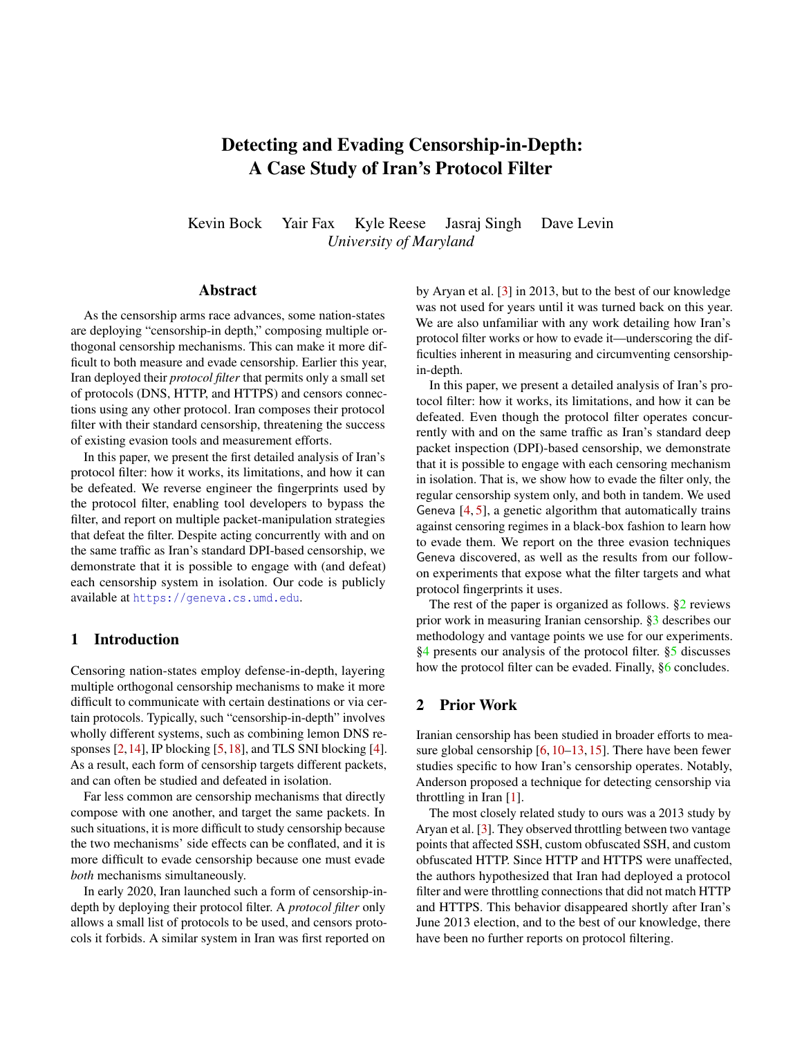# Detecting and Evading Censorship-in-Depth: A Case Study of Iran's Protocol Filter

Kevin Bock Yair Fax Kyle Reese Jasraj Singh Dave Levin *University of Maryland*

#### **Abstract**

As the censorship arms race advances, some nation-states are deploying "censorship-in depth," composing multiple orthogonal censorship mechanisms. This can make it more difficult to both measure and evade censorship. Earlier this year, Iran deployed their *protocol filter* that permits only a small set of protocols (DNS, HTTP, and HTTPS) and censors connections using any other protocol. Iran composes their protocol filter with their standard censorship, threatening the success of existing evasion tools and measurement efforts.

In this paper, we present the first detailed analysis of Iran's protocol filter: how it works, its limitations, and how it can be defeated. We reverse engineer the fingerprints used by the protocol filter, enabling tool developers to bypass the filter, and report on multiple packet-manipulation strategies that defeat the filter. Despite acting concurrently with and on the same traffic as Iran's standard DPI-based censorship, we demonstrate that it is possible to engage with (and defeat) each censorship system in isolation. Our code is publicly available at <https://geneva.cs.umd.edu>.

## 1 Introduction

Censoring nation-states employ defense-in-depth, layering multiple orthogonal censorship mechanisms to make it more difficult to communicate with certain destinations or via certain protocols. Typically, such "censorship-in-depth" involves wholly different systems, such as combining lemon DNS responses  $[2,14]$  $[2,14]$ , IP blocking  $[5,18]$  $[5,18]$ , and TLS SNI blocking  $[4]$ . As a result, each form of censorship targets different packets, and can often be studied and defeated in isolation.

Far less common are censorship mechanisms that directly compose with one another, and target the same packets. In such situations, it is more difficult to study censorship because the two mechanisms' side effects can be conflated, and it is more difficult to evade censorship because one must evade *both* mechanisms simultaneously.

In early 2020, Iran launched such a form of censorship-indepth by deploying their protocol filter. A *protocol filter* only allows a small list of protocols to be used, and censors protocols it forbids. A similar system in Iran was first reported on

by Aryan et al. [\[3\]](#page-6-5) in 2013, but to the best of our knowledge was not used for years until it was turned back on this year. We are also unfamiliar with any work detailing how Iran's protocol filter works or how to evade it—underscoring the difficulties inherent in measuring and circumventing censorshipin-depth.

In this paper, we present a detailed analysis of Iran's protocol filter: how it works, its limitations, and how it can be defeated. Even though the protocol filter operates concurrently with and on the same traffic as Iran's standard deep packet inspection (DPI)-based censorship, we demonstrate that it is possible to engage with each censoring mechanism in isolation. That is, we show how to evade the filter only, the regular censorship system only, and both in tandem. We used Geneva  $[4, 5]$  $[4, 5]$  $[4, 5]$ , a genetic algorithm that automatically trains against censoring regimes in a black-box fashion to learn how to evade them. We report on the three evasion techniques Geneva discovered, as well as the results from our followon experiments that expose what the filter targets and what protocol fingerprints it uses.

The rest of the paper is organized as follows. [§2](#page-0-0) reviews prior work in measuring Iranian censorship. [§3](#page-1-0) describes our methodology and vantage points we use for our experiments. [§4](#page-1-1) presents our analysis of the protocol filter. [§5](#page-4-0) discusses how the protocol filter can be evaded. Finally, [§6](#page-5-0) concludes.

#### <span id="page-0-0"></span>2 Prior Work

Iranian censorship has been studied in broader efforts to measure global censorship [\[6,](#page-6-6) [10](#page-6-7)[–13,](#page-6-8) [15\]](#page-6-9). There have been fewer studies specific to how Iran's censorship operates. Notably, Anderson proposed a technique for detecting censorship via throttling in Iran [\[1\]](#page-6-10).

The most closely related study to ours was a 2013 study by Aryan et al. [\[3\]](#page-6-5). They observed throttling between two vantage points that affected SSH, custom obfuscated SSH, and custom obfuscated HTTP. Since HTTP and HTTPS were unaffected, the authors hypothesized that Iran had deployed a protocol filter and were throttling connections that did not match HTTP and HTTPS. This behavior disappeared shortly after Iran's June 2013 election, and to the best of our knowledge, there have been no further reports on protocol filtering.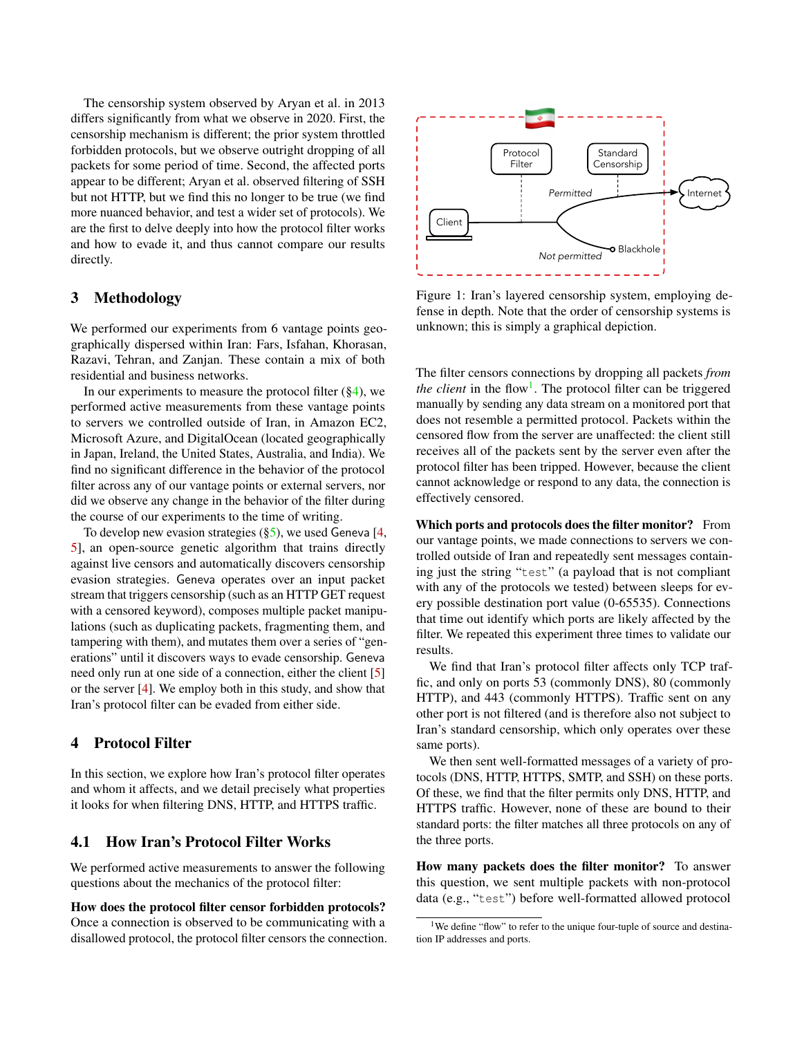The censorship system observed by Aryan et al. in 2013 differs significantly from what we observe in 2020. First, the censorship mechanism is different; the prior system throttled forbidden protocols, but we observe outright dropping of all packets for some period of time. Second, the affected ports appear to be different; Aryan et al. observed filtering of SSH but not HTTP, but we find this no longer to be true (we find more nuanced behavior, and test a wider set of protocols). We are the first to delve deeply into how the protocol filter works and how to evade it, and thus cannot compare our results directly.

## <span id="page-1-0"></span>3 Methodology

We performed our experiments from 6 vantage points geographically dispersed within Iran: Fars, Isfahan, Khorasan, Razavi, Tehran, and Zanjan. These contain a mix of both residential and business networks.

In our experiments to measure the protocol filter  $(\S 4)$ , we performed active measurements from these vantage points to servers we controlled outside of Iran, in Amazon EC2, Microsoft Azure, and DigitalOcean (located geographically in Japan, Ireland, the United States, Australia, and India). We find no significant difference in the behavior of the protocol filter across any of our vantage points or external servers, nor did we observe any change in the behavior of the filter during the course of our experiments to the time of writing.

To develop new evasion strategies  $(\S_5)$ , we used Geneva [\[4,](#page-6-4) [5\]](#page-6-2), an open-source genetic algorithm that trains directly against live censors and automatically discovers censorship evasion strategies. Geneva operates over an input packet stream that triggers censorship (such as an HTTP GET request with a censored keyword), composes multiple packet manipulations (such as duplicating packets, fragmenting them, and tampering with them), and mutates them over a series of "generations" until it discovers ways to evade censorship. Geneva need only run at one side of a connection, either the client [\[5\]](#page-6-2) or the server [\[4\]](#page-6-4). We employ both in this study, and show that Iran's protocol filter can be evaded from either side.

### <span id="page-1-1"></span>4 Protocol Filter

In this section, we explore how Iran's protocol filter operates and whom it affects, and we detail precisely what properties it looks for when filtering DNS, HTTP, and HTTPS traffic.

## 4.1 How Iran's Protocol Filter Works

We performed active measurements to answer the following questions about the mechanics of the protocol filter:

How does the protocol filter censor forbidden protocols? Once a connection is observed to be communicating with a disallowed protocol, the protocol filter censors the connection.



Figure 1: Iran's layered censorship system, employing defense in depth. Note that the order of censorship systems is unknown; this is simply a graphical depiction.

The filter censors connections by dropping all packets *from the client* in the flow<sup>[1](#page-1-2)</sup>. The protocol filter can be triggered manually by sending any data stream on a monitored port that does not resemble a permitted protocol. Packets within the censored flow from the server are unaffected: the client still receives all of the packets sent by the server even after the protocol filter has been tripped. However, because the client cannot acknowledge or respond to any data, the connection is effectively censored.

Which ports and protocols does the filter monitor? From our vantage points, we made connections to servers we controlled outside of Iran and repeatedly sent messages containing just the string "test" (a payload that is not compliant with any of the protocols we tested) between sleeps for every possible destination port value (0-65535). Connections that time out identify which ports are likely affected by the filter. We repeated this experiment three times to validate our results.

We find that Iran's protocol filter affects only TCP traffic, and only on ports 53 (commonly DNS), 80 (commonly HTTP), and 443 (commonly HTTPS). Traffic sent on any other port is not filtered (and is therefore also not subject to Iran's standard censorship, which only operates over these same ports).

We then sent well-formatted messages of a variety of protocols (DNS, HTTP, HTTPS, SMTP, and SSH) on these ports. Of these, we find that the filter permits only DNS, HTTP, and HTTPS traffic. However, none of these are bound to their standard ports: the filter matches all three protocols on any of the three ports.

How many packets does the filter monitor? To answer this question, we sent multiple packets with non-protocol data (e.g., "test") before well-formatted allowed protocol

<span id="page-1-2"></span><sup>&</sup>lt;sup>1</sup>We define "flow" to refer to the unique four-tuple of source and destination IP addresses and ports.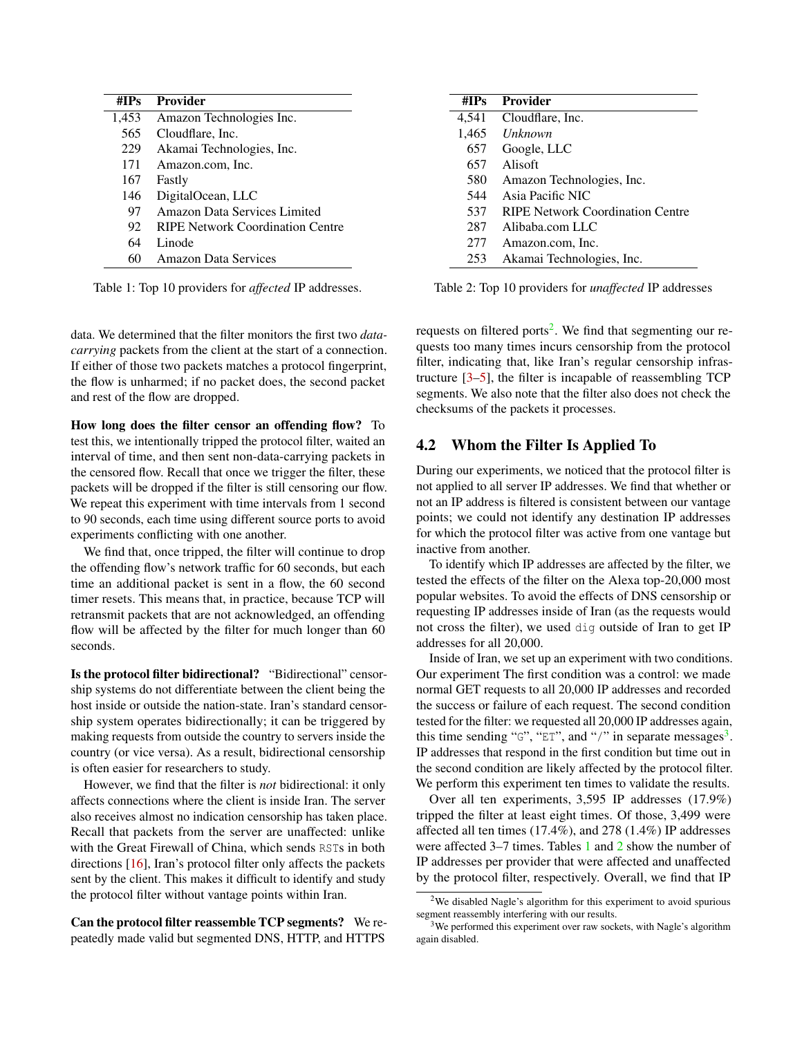<span id="page-2-2"></span>

| #IPs  | <b>Provider</b>                     |
|-------|-------------------------------------|
| 1,453 | Amazon Technologies Inc.            |
| 565   | Cloudflare, Inc.                    |
| 229   | Akamai Technologies, Inc.           |
| 171   | Amazon.com, Inc.                    |
| 167   | Fastly                              |
| 146   | DigitalOcean, LLC                   |
| 97    | <b>Amazon Data Services Limited</b> |
| 92    | RIPE Network Coordination Centre    |
| 64    | Linode                              |
| 60    | <b>Amazon Data Services</b>         |

Table 1: Top 10 providers for *affected* IP addresses.

data. We determined that the filter monitors the first two *datacarrying* packets from the client at the start of a connection. If either of those two packets matches a protocol fingerprint, the flow is unharmed; if no packet does, the second packet and rest of the flow are dropped.

How long does the filter censor an offending flow? To test this, we intentionally tripped the protocol filter, waited an interval of time, and then sent non-data-carrying packets in the censored flow. Recall that once we trigger the filter, these packets will be dropped if the filter is still censoring our flow. We repeat this experiment with time intervals from 1 second to 90 seconds, each time using different source ports to avoid experiments conflicting with one another.

We find that, once tripped, the filter will continue to drop the offending flow's network traffic for 60 seconds, but each time an additional packet is sent in a flow, the 60 second timer resets. This means that, in practice, because TCP will retransmit packets that are not acknowledged, an offending flow will be affected by the filter for much longer than 60 seconds.

Is the protocol filter bidirectional? "Bidirectional" censorship systems do not differentiate between the client being the host inside or outside the nation-state. Iran's standard censorship system operates bidirectionally; it can be triggered by making requests from outside the country to servers inside the country (or vice versa). As a result, bidirectional censorship is often easier for researchers to study.

However, we find that the filter is *not* bidirectional: it only affects connections where the client is inside Iran. The server also receives almost no indication censorship has taken place. Recall that packets from the server are unaffected: unlike with the Great Firewall of China, which sends RSTs in both directions [\[16\]](#page-6-11), Iran's protocol filter only affects the packets sent by the client. This makes it difficult to identify and study the protocol filter without vantage points within Iran.

Can the protocol filter reassemble TCP segments? We repeatedly made valid but segmented DNS, HTTP, and HTTPS

<span id="page-2-3"></span>

| # $IPs$ | <b>Provider</b>                         |
|---------|-----------------------------------------|
| 4,541   | Cloudflare, Inc.                        |
| 1,465   | <i>Unknown</i>                          |
| 657     | Google, LLC                             |
| 657     | Alisoft                                 |
| 580     | Amazon Technologies, Inc.               |
| 544     | Asia Pacific NIC                        |
| 537     | <b>RIPE Network Coordination Centre</b> |
| 287     | Alibaba.com LLC                         |
| 277     | Amazon.com, Inc.                        |
| 253     | Akamai Technologies, Inc.               |

Table 2: Top 10 providers for *unaffected* IP addresses

requests on filtered ports<sup>[2](#page-2-0)</sup>. We find that segmenting our requests too many times incurs censorship from the protocol filter, indicating that, like Iran's regular censorship infrastructure [\[3](#page-6-5)[–5\]](#page-6-2), the filter is incapable of reassembling TCP segments. We also note that the filter also does not check the checksums of the packets it processes.

## 4.2 Whom the Filter Is Applied To

During our experiments, we noticed that the protocol filter is not applied to all server IP addresses. We find that whether or not an IP address is filtered is consistent between our vantage points; we could not identify any destination IP addresses for which the protocol filter was active from one vantage but inactive from another.

To identify which IP addresses are affected by the filter, we tested the effects of the filter on the Alexa top-20,000 most popular websites. To avoid the effects of DNS censorship or requesting IP addresses inside of Iran (as the requests would not cross the filter), we used dig outside of Iran to get IP addresses for all 20,000.

Inside of Iran, we set up an experiment with two conditions. Our experiment The first condition was a control: we made normal GET requests to all 20,000 IP addresses and recorded the success or failure of each request. The second condition tested for the filter: we requested all 20,000 IP addresses again, this time sending " $G$ ", "ET", and "/" in separate messages<sup>[3](#page-2-1)</sup>. IP addresses that respond in the first condition but time out in the second condition are likely affected by the protocol filter. We perform this experiment ten times to validate the results.

Over all ten experiments, 3,595 IP addresses (17.9%) tripped the filter at least eight times. Of those, 3,499 were affected all ten times (17.4%), and 278 (1.4%) IP addresses were affected 3–7 times. Tables [1](#page-2-2) and [2](#page-2-3) show the number of IP addresses per provider that were affected and unaffected by the protocol filter, respectively. Overall, we find that IP

<span id="page-2-0"></span><sup>2</sup>We disabled Nagle's algorithm for this experiment to avoid spurious segment reassembly interfering with our results.

<span id="page-2-1"></span><sup>&</sup>lt;sup>3</sup>We performed this experiment over raw sockets, with Nagle's algorithm again disabled.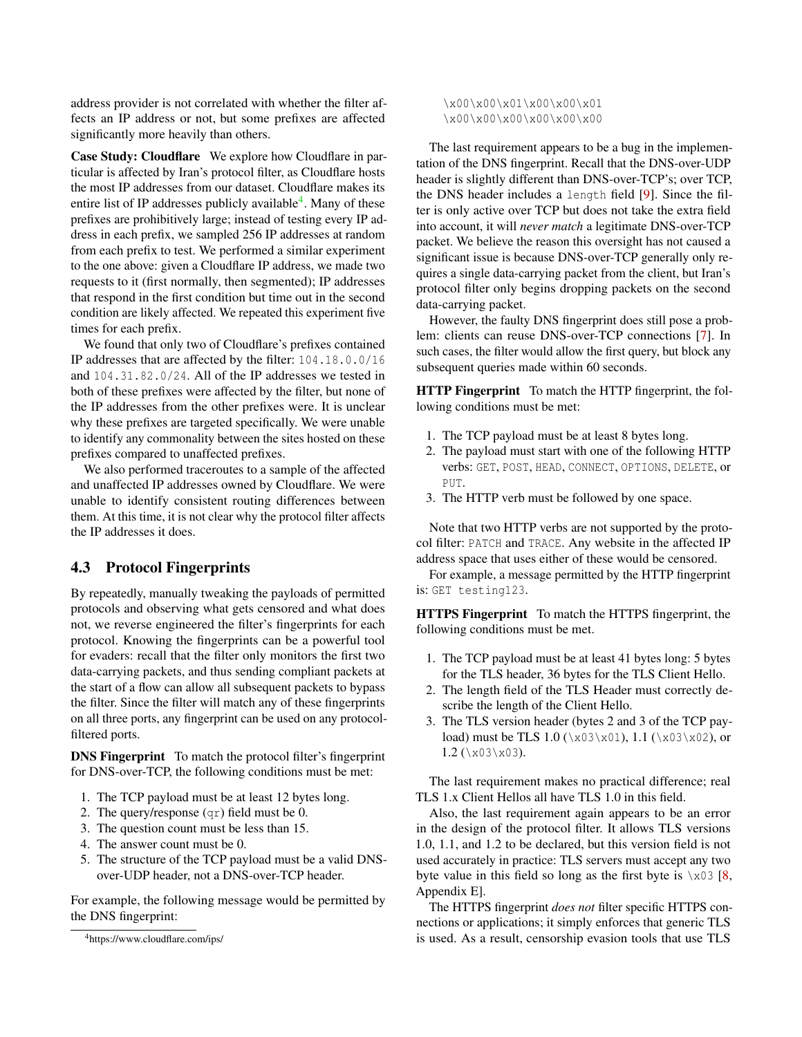address provider is not correlated with whether the filter affects an IP address or not, but some prefixes are affected significantly more heavily than others.

Case Study: Cloudflare We explore how Cloudflare in particular is affected by Iran's protocol filter, as Cloudflare hosts the most IP addresses from our dataset. Cloudflare makes its entire list of IP addresses publicly available<sup>[4](#page-3-0)</sup>. Many of these prefixes are prohibitively large; instead of testing every IP address in each prefix, we sampled 256 IP addresses at random from each prefix to test. We performed a similar experiment to the one above: given a Cloudflare IP address, we made two requests to it (first normally, then segmented); IP addresses that respond in the first condition but time out in the second condition are likely affected. We repeated this experiment five times for each prefix.

We found that only two of Cloudflare's prefixes contained IP addresses that are affected by the filter: 104.18.0.0/16 and 104.31.82.0/24. All of the IP addresses we tested in both of these prefixes were affected by the filter, but none of the IP addresses from the other prefixes were. It is unclear why these prefixes are targeted specifically. We were unable to identify any commonality between the sites hosted on these prefixes compared to unaffected prefixes.

We also performed traceroutes to a sample of the affected and unaffected IP addresses owned by Cloudflare. We were unable to identify consistent routing differences between them. At this time, it is not clear why the protocol filter affects the IP addresses it does.

## 4.3 Protocol Fingerprints

By repeatedly, manually tweaking the payloads of permitted protocols and observing what gets censored and what does not, we reverse engineered the filter's fingerprints for each protocol. Knowing the fingerprints can be a powerful tool for evaders: recall that the filter only monitors the first two data-carrying packets, and thus sending compliant packets at the start of a flow can allow all subsequent packets to bypass the filter. Since the filter will match any of these fingerprints on all three ports, any fingerprint can be used on any protocolfiltered ports.

DNS Fingerprint To match the protocol filter's fingerprint for DNS-over-TCP, the following conditions must be met:

- 1. The TCP payload must be at least 12 bytes long.
- 2. The query/response (qr) field must be 0.
- 3. The question count must be less than 15.
- 4. The answer count must be 0.
- 5. The structure of the TCP payload must be a valid DNSover-UDP header, not a DNS-over-TCP header.

For example, the following message would be permitted by the DNS fingerprint:

\x00\x00\x01\x00\x00\x01 \x00\x00\x00\x00\x00

The last requirement appears to be a bug in the implementation of the DNS fingerprint. Recall that the DNS-over-UDP header is slightly different than DNS-over-TCP's; over TCP, the DNS header includes a length field [\[9\]](#page-6-12). Since the filter is only active over TCP but does not take the extra field into account, it will *never match* a legitimate DNS-over-TCP packet. We believe the reason this oversight has not caused a significant issue is because DNS-over-TCP generally only requires a single data-carrying packet from the client, but Iran's protocol filter only begins dropping packets on the second data-carrying packet.

However, the faulty DNS fingerprint does still pose a problem: clients can reuse DNS-over-TCP connections [\[7\]](#page-6-13). In such cases, the filter would allow the first query, but block any subsequent queries made within 60 seconds.

HTTP Fingerprint To match the HTTP fingerprint, the following conditions must be met:

- 1. The TCP payload must be at least 8 bytes long.
- 2. The payload must start with one of the following HTTP verbs: GET, POST, HEAD, CONNECT, OPTIONS, DELETE, or PUT.
- 3. The HTTP verb must be followed by one space.

Note that two HTTP verbs are not supported by the protocol filter: PATCH and TRACE. Any website in the affected IP address space that uses either of these would be censored.

For example, a message permitted by the HTTP fingerprint is: GET testing123.

HTTPS Fingerprint To match the HTTPS fingerprint, the following conditions must be met.

- 1. The TCP payload must be at least 41 bytes long: 5 bytes for the TLS header, 36 bytes for the TLS Client Hello.
- 2. The length field of the TLS Header must correctly describe the length of the Client Hello.
- 3. The TLS version header (bytes 2 and 3 of the TCP payload) must be TLS 1.0 ( $\x03\x01$ ), 1.1 ( $\x03\x02$ ), or  $1.2$  (\x03\x03).

The last requirement makes no practical difference; real TLS 1.x Client Hellos all have TLS 1.0 in this field.

Also, the last requirement again appears to be an error in the design of the protocol filter. It allows TLS versions 1.0, 1.1, and 1.2 to be declared, but this version field is not used accurately in practice: TLS servers must accept any two byte value in this field so long as the first byte is  $x03 [8, 16]$  $x03 [8, 16]$  $x03 [8, 16]$ Appendix E].

The HTTPS fingerprint *does not* filter specific HTTPS connections or applications; it simply enforces that generic TLS is used. As a result, censorship evasion tools that use TLS

<span id="page-3-0"></span><sup>4</sup>https://www.cloudflare.com/ips/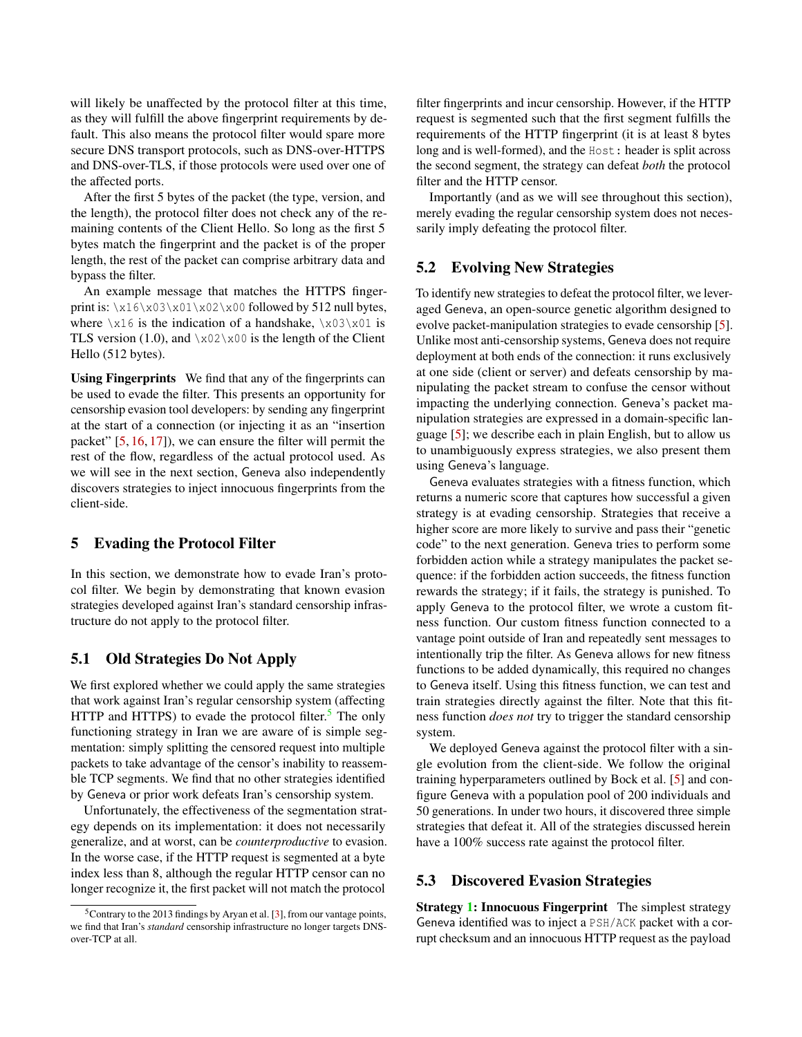will likely be unaffected by the protocol filter at this time, as they will fulfill the above fingerprint requirements by default. This also means the protocol filter would spare more secure DNS transport protocols, such as DNS-over-HTTPS and DNS-over-TLS, if those protocols were used over one of the affected ports.

After the first 5 bytes of the packet (the type, version, and the length), the protocol filter does not check any of the remaining contents of the Client Hello. So long as the first 5 bytes match the fingerprint and the packet is of the proper length, the rest of the packet can comprise arbitrary data and bypass the filter.

An example message that matches the HTTPS fingerprint is:  $\x16\x03\x01\x02\x00$  followed by 512 null bytes, where  $\x16$  is the indication of a handshake,  $\x03\x01$  is TLS version (1.0), and  $x02x00$  is the length of the Client Hello (512 bytes).

Using Fingerprints We find that any of the fingerprints can be used to evade the filter. This presents an opportunity for censorship evasion tool developers: by sending any fingerprint at the start of a connection (or injecting it as an "insertion packet" [\[5,](#page-6-2) [16,](#page-6-11) [17\]](#page-6-15)), we can ensure the filter will permit the rest of the flow, regardless of the actual protocol used. As we will see in the next section, Geneva also independently discovers strategies to inject innocuous fingerprints from the client-side.

#### <span id="page-4-0"></span>5 Evading the Protocol Filter

In this section, we demonstrate how to evade Iran's protocol filter. We begin by demonstrating that known evasion strategies developed against Iran's standard censorship infrastructure do not apply to the protocol filter.

### 5.1 Old Strategies Do Not Apply

We first explored whether we could apply the same strategies that work against Iran's regular censorship system (affecting HTTP and HTTPS) to evade the protocol filter.<sup>[5](#page-4-1)</sup> The only functioning strategy in Iran we are aware of is simple segmentation: simply splitting the censored request into multiple packets to take advantage of the censor's inability to reassemble TCP segments. We find that no other strategies identified by Geneva or prior work defeats Iran's censorship system.

Unfortunately, the effectiveness of the segmentation strategy depends on its implementation: it does not necessarily generalize, and at worst, can be *counterproductive* to evasion. In the worse case, if the HTTP request is segmented at a byte index less than 8, although the regular HTTP censor can no longer recognize it, the first packet will not match the protocol

filter fingerprints and incur censorship. However, if the HTTP request is segmented such that the first segment fulfills the requirements of the HTTP fingerprint (it is at least 8 bytes long and is well-formed), and the Host: header is split across the second segment, the strategy can defeat *both* the protocol filter and the HTTP censor.

Importantly (and as we will see throughout this section), merely evading the regular censorship system does not necessarily imply defeating the protocol filter.

#### 5.2 Evolving New Strategies

To identify new strategies to defeat the protocol filter, we leveraged Geneva, an open-source genetic algorithm designed to evolve packet-manipulation strategies to evade censorship [\[5\]](#page-6-2). Unlike most anti-censorship systems, Geneva does not require deployment at both ends of the connection: it runs exclusively at one side (client or server) and defeats censorship by manipulating the packet stream to confuse the censor without impacting the underlying connection. Geneva's packet manipulation strategies are expressed in a domain-specific language [\[5\]](#page-6-2); we describe each in plain English, but to allow us to unambiguously express strategies, we also present them using Geneva's language.

Geneva evaluates strategies with a fitness function, which returns a numeric score that captures how successful a given strategy is at evading censorship. Strategies that receive a higher score are more likely to survive and pass their "genetic code" to the next generation. Geneva tries to perform some forbidden action while a strategy manipulates the packet sequence: if the forbidden action succeeds, the fitness function rewards the strategy; if it fails, the strategy is punished. To apply Geneva to the protocol filter, we wrote a custom fitness function. Our custom fitness function connected to a vantage point outside of Iran and repeatedly sent messages to intentionally trip the filter. As Geneva allows for new fitness functions to be added dynamically, this required no changes to Geneva itself. Using this fitness function, we can test and train strategies directly against the filter. Note that this fitness function *does not* try to trigger the standard censorship system.

We deployed Geneva against the protocol filter with a single evolution from the client-side. We follow the original training hyperparameters outlined by Bock et al. [\[5\]](#page-6-2) and configure Geneva with a population pool of 200 individuals and 50 generations. In under two hours, it discovered three simple strategies that defeat it. All of the strategies discussed herein have a  $100\%$  success rate against the protocol filter.

#### 5.3 Discovered Evasion Strategies

Strategy [1:](#page-5-1) Innocuous Fingerprint The simplest strategy Geneva identified was to inject a PSH/ACK packet with a corrupt checksum and an innocuous HTTP request as the payload

<span id="page-4-1"></span><sup>5</sup>Contrary to the 2013 findings by Aryan et al. [\[3\]](#page-6-5), from our vantage points, we find that Iran's *standard* censorship infrastructure no longer targets DNSover-TCP at all.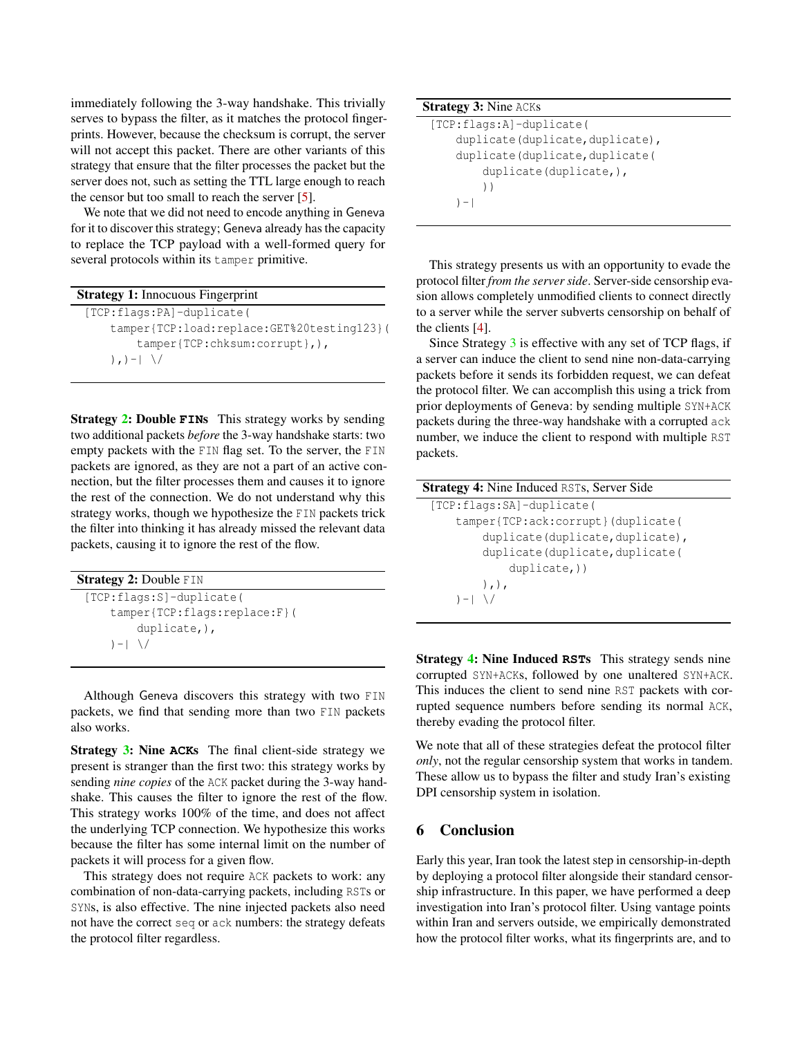immediately following the 3-way handshake. This trivially serves to bypass the filter, as it matches the protocol fingerprints. However, because the checksum is corrupt, the server will not accept this packet. There are other variants of this strategy that ensure that the filter processes the packet but the server does not, such as setting the TTL large enough to reach the censor but too small to reach the server [\[5\]](#page-6-2).

We note that we did not need to encode anything in Geneva for it to discover this strategy; Geneva already has the capacity to replace the TCP payload with a well-formed query for several protocols within its tamper primitive.

| <b>Strategy 1: Innocuous Fingerprint</b>   |  |  |
|--------------------------------------------|--|--|
| [TCP:flags:PA]-duplicate(                  |  |  |
| tamper{TCP:load:replace:GET%20testing123}( |  |  |
| $t$ amper{TCP:chksum:corrupt},),           |  |  |
|                                            |  |  |

<span id="page-5-1"></span>Strategy [2:](#page-5-2) Double **FIN**s This strategy works by sending two additional packets *before* the 3-way handshake starts: two empty packets with the FIN flag set. To the server, the FIN packets are ignored, as they are not a part of an active connection, but the filter processes them and causes it to ignore the rest of the connection. We do not understand why this strategy works, though we hypothesize the FIN packets trick the filter into thinking it has already missed the relevant data packets, causing it to ignore the rest of the flow.

| <b>Strategy 2: Double FIN</b> |  |
|-------------------------------|--|
| $[TCP:flags:SI-duplicate($    |  |
| tamper{TCP:flags:replace:F}(  |  |
| $d$ uplicate, $),$            |  |
| $ - $ \/                      |  |

<span id="page-5-2"></span>Although Geneva discovers this strategy with two FIN packets, we find that sending more than two FIN packets also works.

Strategy [3:](#page-5-3) Nine **ACK**s The final client-side strategy we present is stranger than the first two: this strategy works by sending *nine copies* of the ACK packet during the 3-way handshake. This causes the filter to ignore the rest of the flow. This strategy works 100% of the time, and does not affect the underlying TCP connection. We hypothesize this works because the filter has some internal limit on the number of packets it will process for a given flow.

This strategy does not require ACK packets to work: any combination of non-data-carrying packets, including RSTs or SYNs, is also effective. The nine injected packets also need not have the correct seq or ack numbers: the strategy defeats the protocol filter regardless.

## Strategy 3: Nine ACKs

```
[TCP:flags:A]-duplicate(
duplicate(duplicate,duplicate),
 duplicate(duplicate,duplicate(
     duplicate(duplicate,),
    ))
) - |
```
<span id="page-5-3"></span>This strategy presents us with an opportunity to evade the protocol filter *from the server side*. Server-side censorship evasion allows completely unmodified clients to connect directly to a server while the server subverts censorship on behalf of the clients [\[4\]](#page-6-4).

Since Strategy [3](#page-5-3) is effective with any set of TCP flags, if a server can induce the client to send nine non-data-carrying packets before it sends its forbidden request, we can defeat the protocol filter. We can accomplish this using a trick from prior deployments of Geneva: by sending multiple SYN+ACK packets during the three-way handshake with a corrupted ack number, we induce the client to respond with multiple RST packets.

| <b>Strategy 4:</b> Nine Induced RSTs, Server Side |
|---------------------------------------------------|
| $[TCP:flags:SA]-duplicate($                       |
| tamper{TCP:ack:corrupt}(duplicate(                |
| duplicate(duplicate,duplicate),                   |
| duplicate(duplicate,duplicate(                    |
| $duplicate,$ ))                                   |
| ),                                                |
| $ - $ $\setminus$                                 |

<span id="page-5-4"></span>Strategy [4:](#page-5-4) Nine Induced **RST**s This strategy sends nine corrupted SYN+ACKs, followed by one unaltered SYN+ACK. This induces the client to send nine RST packets with corrupted sequence numbers before sending its normal ACK, thereby evading the protocol filter.

We note that all of these strategies defeat the protocol filter *only*, not the regular censorship system that works in tandem. These allow us to bypass the filter and study Iran's existing DPI censorship system in isolation.

## <span id="page-5-0"></span>6 Conclusion

Early this year, Iran took the latest step in censorship-in-depth by deploying a protocol filter alongside their standard censorship infrastructure. In this paper, we have performed a deep investigation into Iran's protocol filter. Using vantage points within Iran and servers outside, we empirically demonstrated how the protocol filter works, what its fingerprints are, and to